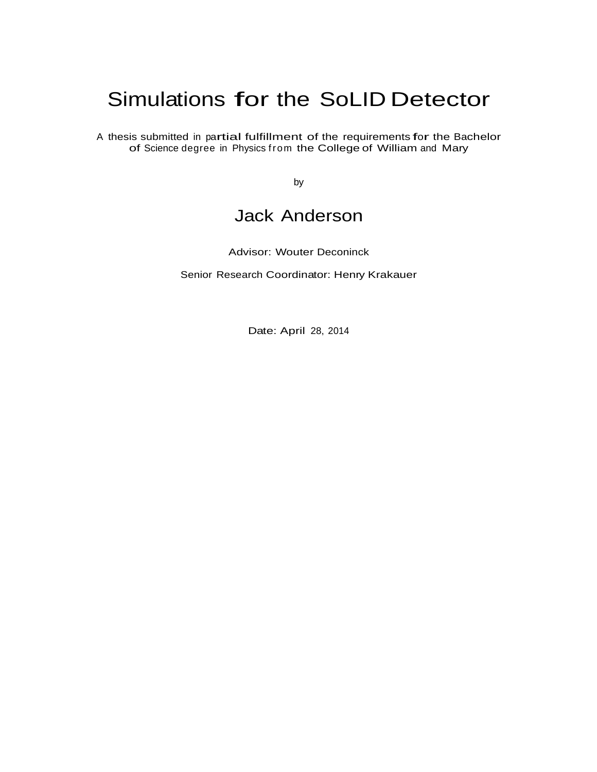# Simulations for the SoLID Detector

<sup>A</sup> thesis submitted in partial fulfillment of the requirements for the Bachelor of Science degree in Physics from the College of William and Mary

by

# Jack Anderson

Advisor: Wouter Deconinck

Senior Research Coordinator: Henry Krakauer

Date: April 28, 2014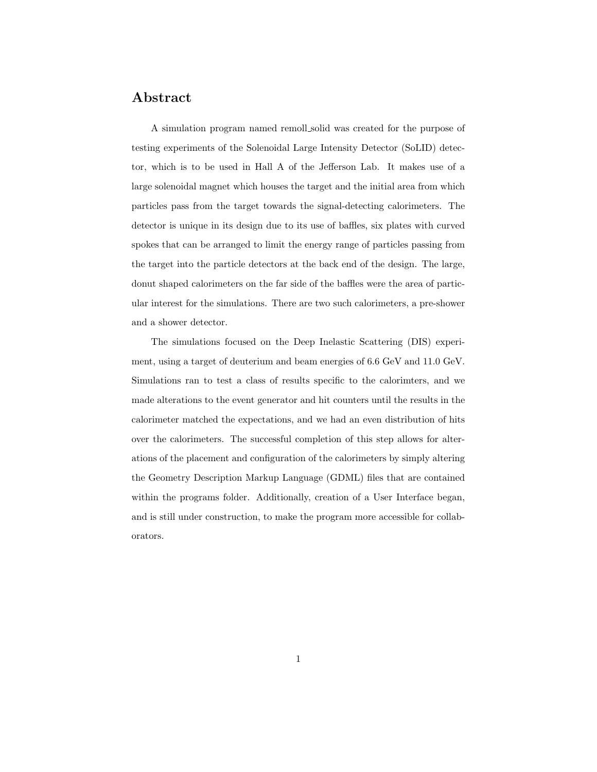#### Abstract

A simulation program named remoll solid was created for the purpose of testing experiments of the Solenoidal Large Intensity Detector (SoLID) detector, which is to be used in Hall A of the Jefferson Lab. It makes use of a large solenoidal magnet which houses the target and the initial area from which particles pass from the target towards the signal-detecting calorimeters. The detector is unique in its design due to its use of baffles, six plates with curved spokes that can be arranged to limit the energy range of particles passing from the target into the particle detectors at the back end of the design. The large, donut shaped calorimeters on the far side of the baffles were the area of particular interest for the simulations. There are two such calorimeters, a pre-shower and a shower detector.

The simulations focused on the Deep Inelastic Scattering (DIS) experiment, using a target of deuterium and beam energies of 6.6 GeV and 11.0 GeV. Simulations ran to test a class of results specific to the calorimters, and we made alterations to the event generator and hit counters until the results in the calorimeter matched the expectations, and we had an even distribution of hits over the calorimeters. The successful completion of this step allows for alterations of the placement and configuration of the calorimeters by simply altering the Geometry Description Markup Language (GDML) files that are contained within the programs folder. Additionally, creation of a User Interface began, and is still under construction, to make the program more accessible for collaborators.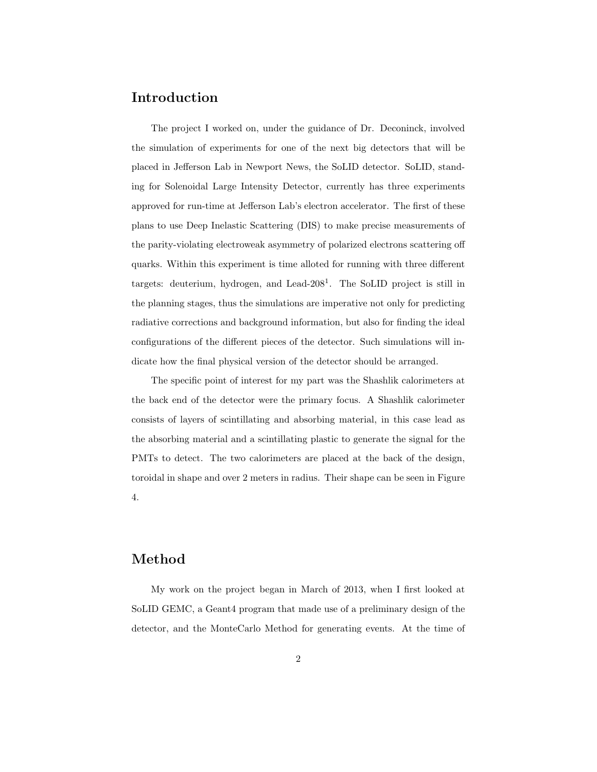#### Introduction

The project I worked on, under the guidance of Dr. Deconinck, involved the simulation of experiments for one of the next big detectors that will be placed in Jefferson Lab in Newport News, the SoLID detector. SoLID, standing for Solenoidal Large Intensity Detector, currently has three experiments approved for run-time at Jefferson Lab's electron accelerator. The first of these plans to use Deep Inelastic Scattering (DIS) to make precise measurements of the parity-violating electroweak asymmetry of polarized electrons scattering off quarks. Within this experiment is time alloted for running with three different targets: deuterium, hydrogen, and Lead-208<sup>1</sup> . The SoLID project is still in the planning stages, thus the simulations are imperative not only for predicting radiative corrections and background information, but also for finding the ideal configurations of the different pieces of the detector. Such simulations will indicate how the final physical version of the detector should be arranged.

The specific point of interest for my part was the Shashlik calorimeters at the back end of the detector were the primary focus. A Shashlik calorimeter consists of layers of scintillating and absorbing material, in this case lead as the absorbing material and a scintillating plastic to generate the signal for the PMTs to detect. The two calorimeters are placed at the back of the design, toroidal in shape and over 2 meters in radius. Their shape can be seen in Figure 4.

## Method

My work on the project began in March of 2013, when I first looked at SoLID GEMC, a Geant4 program that made use of a preliminary design of the detector, and the MonteCarlo Method for generating events. At the time of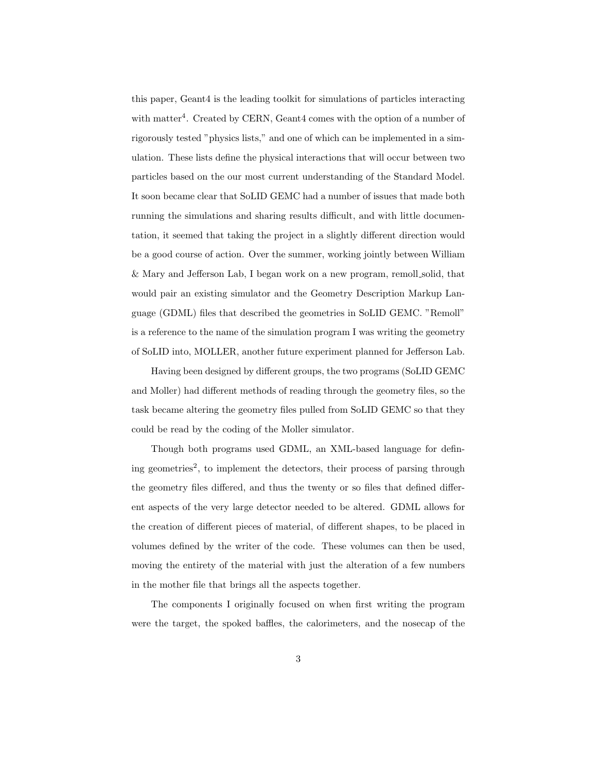this paper, Geant4 is the leading toolkit for simulations of particles interacting with matter<sup>4</sup>. Created by CERN, Geant4 comes with the option of a number of rigorously tested "physics lists," and one of which can be implemented in a simulation. These lists define the physical interactions that will occur between two particles based on the our most current understanding of the Standard Model. It soon became clear that SoLID GEMC had a number of issues that made both running the simulations and sharing results difficult, and with little documentation, it seemed that taking the project in a slightly different direction would be a good course of action. Over the summer, working jointly between William & Mary and Jefferson Lab, I began work on a new program, remoll solid, that would pair an existing simulator and the Geometry Description Markup Language (GDML) files that described the geometries in SoLID GEMC. "Remoll" is a reference to the name of the simulation program I was writing the geometry of SoLID into, MOLLER, another future experiment planned for Jefferson Lab.

Having been designed by different groups, the two programs (SoLID GEMC and Moller) had different methods of reading through the geometry files, so the task became altering the geometry files pulled from SoLID GEMC so that they could be read by the coding of the Moller simulator.

Though both programs used GDML, an XML-based language for defining geometries<sup>2</sup>, to implement the detectors, their process of parsing through the geometry files differed, and thus the twenty or so files that defined different aspects of the very large detector needed to be altered. GDML allows for the creation of different pieces of material, of different shapes, to be placed in volumes defined by the writer of the code. These volumes can then be used, moving the entirety of the material with just the alteration of a few numbers in the mother file that brings all the aspects together.

The components I originally focused on when first writing the program were the target, the spoked baffles, the calorimeters, and the nosecap of the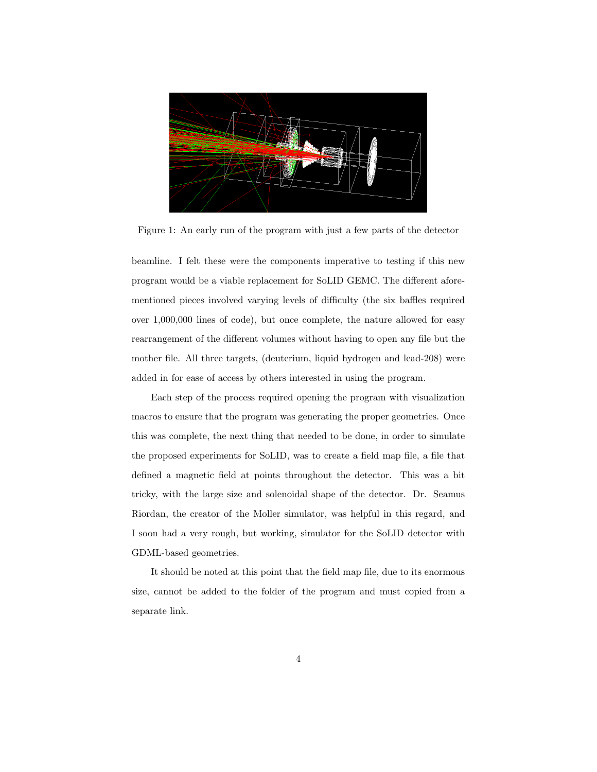

Figure 1: An early run of the program with just a few parts of the detector

beamline. I felt these were the components imperative to testing if this new program would be a viable replacement for SoLID GEMC. The different aforementioned pieces involved varying levels of difficulty (the six baffles required over 1,000,000 lines of code), but once complete, the nature allowed for easy rearrangement of the different volumes without having to open any file but the mother file. All three targets, (deuterium, liquid hydrogen and lead-208) were added in for ease of access by others interested in using the program.

Each step of the process required opening the program with visualization macros to ensure that the program was generating the proper geometries. Once this was complete, the next thing that needed to be done, in order to simulate the proposed experiments for SoLID, was to create a field map file, a file that defined a magnetic field at points throughout the detector. This was a bit tricky, with the large size and solenoidal shape of the detector. Dr. Seamus Riordan, the creator of the Moller simulator, was helpful in this regard, and I soon had a very rough, but working, simulator for the SoLID detector with GDML-based geometries.

It should be noted at this point that the field map file, due to its enormous size, cannot be added to the folder of the program and must copied from a separate link.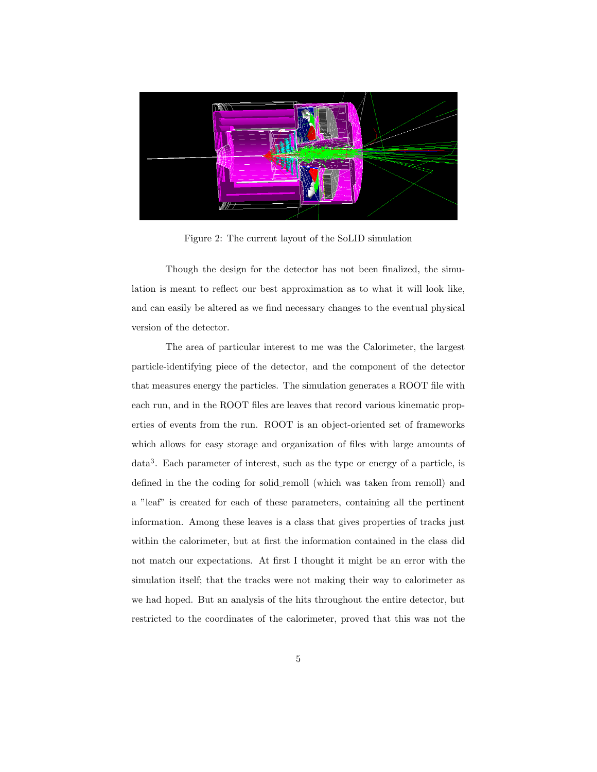

Figure 2: The current layout of the SoLID simulation

Though the design for the detector has not been finalized, the simulation is meant to reflect our best approximation as to what it will look like, and can easily be altered as we find necessary changes to the eventual physical version of the detector.

The area of particular interest to me was the Calorimeter, the largest particle-identifying piece of the detector, and the component of the detector that measures energy the particles. The simulation generates a ROOT file with each run, and in the ROOT files are leaves that record various kinematic properties of events from the run. ROOT is an object-oriented set of frameworks which allows for easy storage and organization of files with large amounts of data<sup>3</sup> . Each parameter of interest, such as the type or energy of a particle, is defined in the the coding for solid remoll (which was taken from remoll) and a "leaf" is created for each of these parameters, containing all the pertinent information. Among these leaves is a class that gives properties of tracks just within the calorimeter, but at first the information contained in the class did not match our expectations. At first I thought it might be an error with the simulation itself; that the tracks were not making their way to calorimeter as we had hoped. But an analysis of the hits throughout the entire detector, but restricted to the coordinates of the calorimeter, proved that this was not the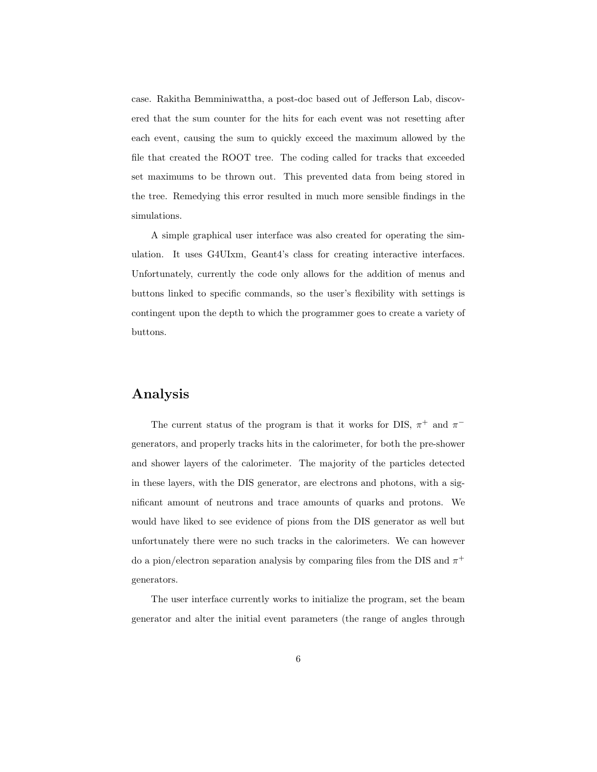case. Rakitha Bemminiwattha, a post-doc based out of Jefferson Lab, discovered that the sum counter for the hits for each event was not resetting after each event, causing the sum to quickly exceed the maximum allowed by the file that created the ROOT tree. The coding called for tracks that exceeded set maximums to be thrown out. This prevented data from being stored in the tree. Remedying this error resulted in much more sensible findings in the simulations.

A simple graphical user interface was also created for operating the simulation. It uses G4UIxm, Geant4's class for creating interactive interfaces. Unfortunately, currently the code only allows for the addition of menus and buttons linked to specific commands, so the user's flexibility with settings is contingent upon the depth to which the programmer goes to create a variety of buttons.

#### Analysis

The current status of the program is that it works for DIS,  $\pi^+$  and  $\pi^$ generators, and properly tracks hits in the calorimeter, for both the pre-shower and shower layers of the calorimeter. The majority of the particles detected in these layers, with the DIS generator, are electrons and photons, with a significant amount of neutrons and trace amounts of quarks and protons. We would have liked to see evidence of pions from the DIS generator as well but unfortunately there were no such tracks in the calorimeters. We can however do a pion/electron separation analysis by comparing files from the DIS and  $\pi^+$ generators.

The user interface currently works to initialize the program, set the beam generator and alter the initial event parameters (the range of angles through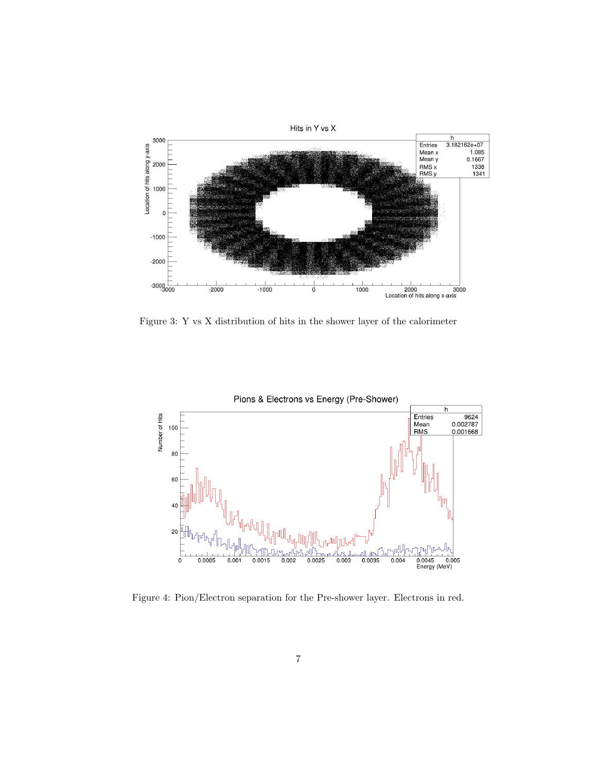

Figure 3: Y vs X distribution of hits in the shower layer of the calorimeter



Figure 4: Pion/Electron separation for the Pre-shower layer. Electrons in red.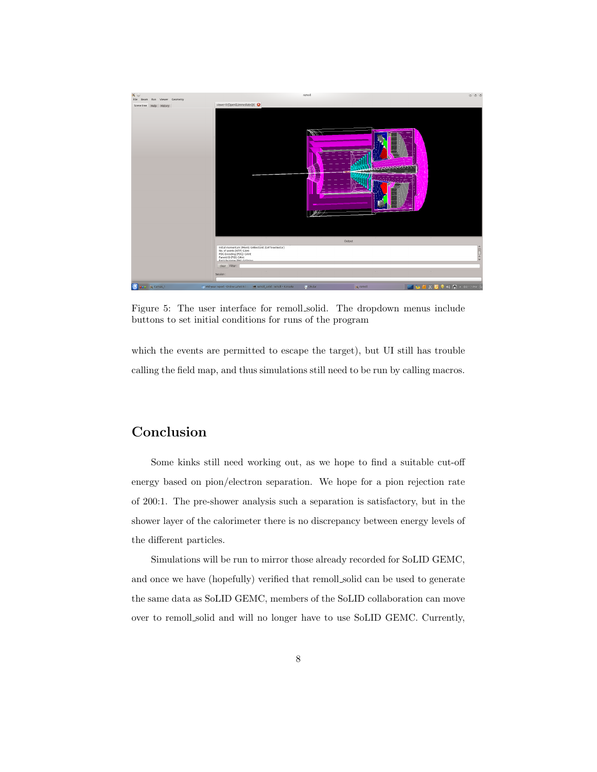

Figure 5: The user interface for remoll solid. The dropdown menus include buttons to set initial conditions for runs of the program

which the events are permitted to escape the target), but UI still has trouble calling the field map, and thus simulations still need to be run by calling macros.

## Conclusion

Some kinks still need working out, as we hope to find a suitable cut-off energy based on pion/electron separation. We hope for a pion rejection rate of 200:1. The pre-shower analysis such a separation is satisfactory, but in the shower layer of the calorimeter there is no discrepancy between energy levels of the different particles.

Simulations will be run to mirror those already recorded for SoLID GEMC, and once we have (hopefully) verified that remoll solid can be used to generate the same data as SoLID GEMC, members of the SoLID collaboration can move over to remoll solid and will no longer have to use SoLID GEMC. Currently,